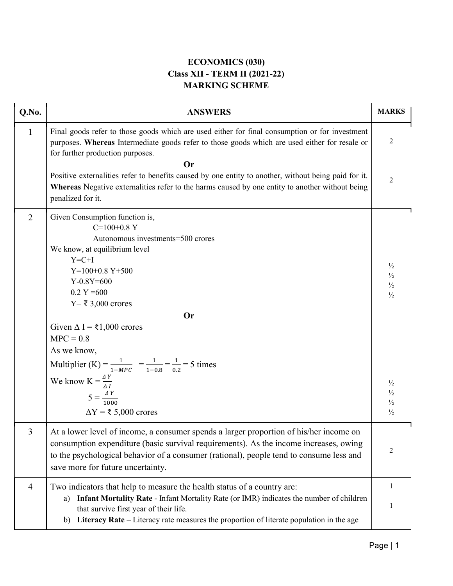## ECONOMICS (030) Class XII - TERM II (2021-22) MARKING SCHEME

| Q.No.          | <b>ANSWERS</b>                                                                                                                                                                                                                                                                                                                                                                         | <b>MARKS</b>                                                     |
|----------------|----------------------------------------------------------------------------------------------------------------------------------------------------------------------------------------------------------------------------------------------------------------------------------------------------------------------------------------------------------------------------------------|------------------------------------------------------------------|
| $\mathbf{1}$   | Final goods refer to those goods which are used either for final consumption or for investment<br>purposes. Whereas Intermediate goods refer to those goods which are used either for resale or<br>for further production purposes.                                                                                                                                                    | $\overline{2}$                                                   |
|                | <b>Or</b><br>Positive externalities refer to benefits caused by one entity to another, without being paid for it.                                                                                                                                                                                                                                                                      |                                                                  |
|                | Whereas Negative externalities refer to the harms caused by one entity to another without being<br>penalized for it.                                                                                                                                                                                                                                                                   | 2                                                                |
| $\overline{2}$ | Given Consumption function is,<br>$C=100+0.8$ Y<br>Autonomous investments=500 crores<br>We know, at equilibrium level<br>$Y=C+I$<br>$Y=100+0.8 Y+500$<br>$Y-0.8Y=600$<br>$0.2 Y = 600$<br>$Y = ₹ 3,000$ crores<br><b>Or</b><br>Given $\Delta I = \xi 1,000$ crores<br>$MPC = 0.8$<br>As we know,<br>Multiplier (K) = $\frac{1}{1-MPC}$ = $\frac{1}{1-0.8}$ = $\frac{1}{0.2}$ = 5 times | $\frac{1}{2}$<br>$\frac{1}{2}$<br>$\frac{1}{2}$<br>$\frac{1}{2}$ |
|                | We know $K = \frac{\Delta Y}{\Delta I}$<br>$5 = \frac{\Delta Y}{1000}$<br>$\Delta Y = \xi$ 5,000 crores                                                                                                                                                                                                                                                                                | $\frac{1}{2}$<br>$\frac{1}{2}$<br>$\frac{1}{2}$<br>$\frac{1}{2}$ |
| 3              | At a lower level of income, a consumer spends a larger proportion of his/her income on<br>consumption expenditure (basic survival requirements). As the income increases, owing<br>to the psychological behavior of a consumer (rational), people tend to consume less and<br>save more for future uncertainty.                                                                        | 2                                                                |
| 4              | Two indicators that help to measure the health status of a country are:<br>Infant Mortality Rate - Infant Mortality Rate (or IMR) indicates the number of children<br>a)<br>that survive first year of their life.<br>b) Literacy Rate – Literacy rate measures the proportion of literate population in the age                                                                       | 1<br>1                                                           |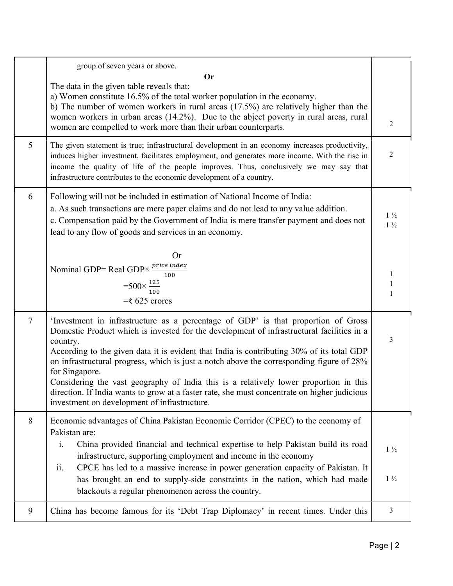|                | group of seven years or above.                                                                                                                                                                                                                                                                                                                                                                                                                                                                                                                                                                                                                 |                                  |
|----------------|------------------------------------------------------------------------------------------------------------------------------------------------------------------------------------------------------------------------------------------------------------------------------------------------------------------------------------------------------------------------------------------------------------------------------------------------------------------------------------------------------------------------------------------------------------------------------------------------------------------------------------------------|----------------------------------|
|                | <b>Or</b><br>The data in the given table reveals that:<br>a) Women constitute 16.5% of the total worker population in the economy.<br>b) The number of women workers in rural areas $(17.5%)$ are relatively higher than the<br>women workers in urban areas (14.2%). Due to the abject poverty in rural areas, rural<br>women are compelled to work more than their urban counterparts.                                                                                                                                                                                                                                                       | 2                                |
| 5              | The given statement is true; infrastructural development in an economy increases productivity,<br>induces higher investment, facilitates employment, and generates more income. With the rise in<br>income the quality of life of the people improves. Thus, conclusively we may say that<br>infrastructure contributes to the economic development of a country.                                                                                                                                                                                                                                                                              | 2                                |
| 6              | Following will not be included in estimation of National Income of India:<br>a. As such transactions are mere paper claims and do not lead to any value addition.<br>c. Compensation paid by the Government of India is mere transfer payment and does not<br>lead to any flow of goods and services in an economy.                                                                                                                                                                                                                                                                                                                            | $1\frac{1}{2}$<br>$1\frac{1}{2}$ |
|                | <b>Or</b><br>Nominal GDP= Real GDP $\times$ <i>price index</i><br>100<br>$=500\times\frac{125}{100}$<br>$=\t5625$ crores                                                                                                                                                                                                                                                                                                                                                                                                                                                                                                                       | 1<br>1<br>1                      |
| $\overline{7}$ | 'Investment in infrastructure as a percentage of GDP' is that proportion of Gross<br>Domestic Product which is invested for the development of infrastructural facilities in a<br>country.<br>According to the given data it is evident that India is contributing 30% of its total GDP<br>on infrastructural progress, which is just a notch above the corresponding figure of 28%<br>for Singapore.<br>Considering the vast geography of India this is a relatively lower proportion in this<br>direction. If India wants to grow at a faster rate, she must concentrate on higher judicious<br>investment on development of infrastructure. | 3                                |
| 8              | Economic advantages of China Pakistan Economic Corridor (CPEC) to the economy of<br>Pakistan are:<br>China provided financial and technical expertise to help Pakistan build its road<br>$\mathbf{i}$ .<br>infrastructure, supporting employment and income in the economy<br>CPCE has led to a massive increase in power generation capacity of Pakistan. It<br>ii.<br>has brought an end to supply-side constraints in the nation, which had made<br>blackouts a regular phenomenon across the country.                                                                                                                                      | $1\frac{1}{2}$<br>$1\frac{1}{2}$ |
| 9              | China has become famous for its 'Debt Trap Diplomacy' in recent times. Under this                                                                                                                                                                                                                                                                                                                                                                                                                                                                                                                                                              | 3                                |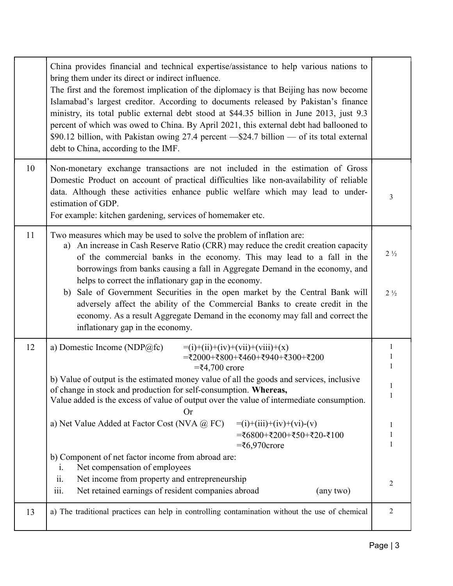|    | China provides financial and technical expertise/assistance to help various nations to<br>bring them under its direct or indirect influence.<br>The first and the foremost implication of the diplomacy is that Beijing has now become<br>Islamabad's largest creditor. According to documents released by Pakistan's finance<br>ministry, its total public external debt stood at \$44.35 billion in June 2013, just 9.3<br>percent of which was owed to China. By April 2021, this external debt had ballooned to<br>\$90.12 billion, with Pakistan owing 27.4 percent - \$24.7 billion - of its total external<br>debt to China, according to the IMF.                                                                                                        |                                            |
|----|------------------------------------------------------------------------------------------------------------------------------------------------------------------------------------------------------------------------------------------------------------------------------------------------------------------------------------------------------------------------------------------------------------------------------------------------------------------------------------------------------------------------------------------------------------------------------------------------------------------------------------------------------------------------------------------------------------------------------------------------------------------|--------------------------------------------|
| 10 | Non-monetary exchange transactions are not included in the estimation of Gross<br>Domestic Product on account of practical difficulties like non-availability of reliable<br>data. Although these activities enhance public welfare which may lead to under-<br>estimation of GDP.<br>For example: kitchen gardening, services of homemaker etc.                                                                                                                                                                                                                                                                                                                                                                                                                 | 3                                          |
| 11 | Two measures which may be used to solve the problem of inflation are:<br>An increase in Cash Reserve Ratio (CRR) may reduce the credit creation capacity<br>a)<br>of the commercial banks in the economy. This may lead to a fall in the<br>borrowings from banks causing a fall in Aggregate Demand in the economy, and<br>helps to correct the inflationary gap in the economy.<br>Sale of Government Securities in the open market by the Central Bank will<br>b)<br>adversely affect the ability of the Commercial Banks to create credit in the<br>economy. As a result Aggregate Demand in the economy may fall and correct the<br>inflationary gap in the economy.                                                                                        | $2\frac{1}{2}$<br>$2\frac{1}{2}$           |
| 12 | a) Domestic Income (NDP@fc)<br>$=$ (i)+(ii)+(iv)+(vii)+(viii)+(x)<br>=₹2000+₹800+₹460+₹940+₹300+₹200<br>$=$ ₹4,700 crore<br>b) Value of output is the estimated money value of all the goods and services, inclusive<br>of change in stock and production for self-consumption. Whereas,<br>Value added is the excess of value of output over the value of intermediate consumption.<br><b>Or</b><br>a) Net Value Added at Factor Cost (NVA @ FC)<br>$=$ (i)+(iii)+(iv)+(vi)-(v)<br>=₹6800+₹200+₹50+₹20-₹100<br>$=\t5,970$ crore<br>b) Component of net factor income from abroad are:<br>Net compensation of employees<br>1.<br>ii.<br>Net income from property and entrepreneurship<br>iii.<br>Net retained earnings of resident companies abroad<br>(any two) | 1<br>1<br>$\mathbf{1}$<br>1<br>1<br>1<br>2 |
| 13 | a) The traditional practices can help in controlling contamination without the use of chemical                                                                                                                                                                                                                                                                                                                                                                                                                                                                                                                                                                                                                                                                   | 2                                          |